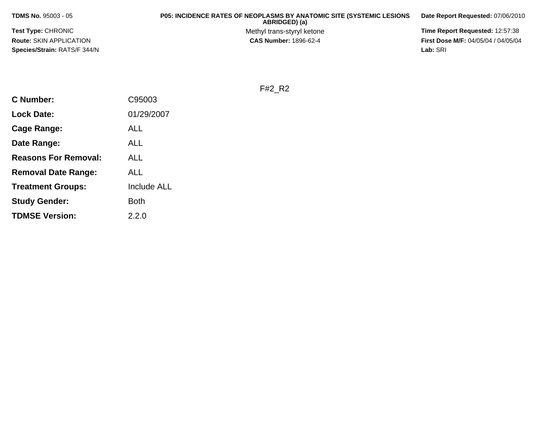**TDMS No.** 95003 - 05

**Test Type:** CHRONIC**Route:** SKIN APPLICATION**Species/Strain:** RATS/F 344/N

## **P05: INCIDENCE RATES OF NEOPLASMS BY ANATOMIC SITE (SYSTEMIC LESIONS ABRIDGED) (a)**

Methyl trans-styryl ketone<br>CAS Number: 1896-62-4

**Date Report Requested:** 07/06/2010

 **Time Report Requested:** 12:57:38 **First Dose M/F:** 04/05/04 / 04/05/04<br>Lab: SRI **Lab:** SRI

F#2\_R2

| <b>C</b> Number:            | C95003             |
|-----------------------------|--------------------|
| <b>Lock Date:</b>           | 01/29/2007         |
| Cage Range:                 | ALL                |
| Date Range:                 | ALL                |
| <b>Reasons For Removal:</b> | ALL                |
| <b>Removal Date Range:</b>  | ALL                |
| <b>Treatment Groups:</b>    | <b>Include ALL</b> |
| <b>Study Gender:</b>        | <b>Both</b>        |
| <b>TDMSE Version:</b>       | 2.2.0              |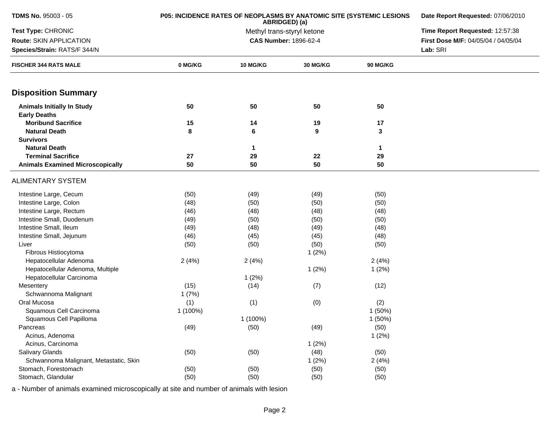| <b>TDMS No. 95003 - 05</b>                               | P05: INCIDENCE RATES OF NEOPLASMS BY ANATOMIC SITE (SYSTEMIC LESIONS | Date Report Requested: 07/06/2010<br>Time Report Requested: 12:57:38 |          |                 |                                     |
|----------------------------------------------------------|----------------------------------------------------------------------|----------------------------------------------------------------------|----------|-----------------|-------------------------------------|
| Test Type: CHRONIC                                       |                                                                      |                                                                      |          |                 |                                     |
| Route: SKIN APPLICATION                                  |                                                                      | CAS Number: 1896-62-4                                                |          |                 | First Dose M/F: 04/05/04 / 04/05/04 |
| Species/Strain: RATS/F 344/N                             |                                                                      |                                                                      |          |                 | Lab: SRI                            |
| <b>FISCHER 344 RATS MALE</b>                             | 0 MG/KG                                                              | 10 MG/KG                                                             | 30 MG/KG | <b>90 MG/KG</b> |                                     |
| <b>Disposition Summary</b>                               |                                                                      |                                                                      |          |                 |                                     |
| <b>Animals Initially In Study</b><br><b>Early Deaths</b> | 50                                                                   | 50                                                                   | 50       | 50              |                                     |
| <b>Moribund Sacrifice</b>                                | 15                                                                   | 14                                                                   | 19       | 17              |                                     |
| <b>Natural Death</b>                                     | 8                                                                    | 6                                                                    | 9        | 3               |                                     |
| <b>Survivors</b>                                         |                                                                      |                                                                      |          |                 |                                     |
| <b>Natural Death</b>                                     |                                                                      | $\mathbf 1$                                                          |          | 1               |                                     |
| <b>Terminal Sacrifice</b>                                | 27                                                                   | 29                                                                   | 22       | 29              |                                     |
| <b>Animals Examined Microscopically</b>                  | 50                                                                   | 50                                                                   | 50       | 50              |                                     |
| <b>ALIMENTARY SYSTEM</b>                                 |                                                                      |                                                                      |          |                 |                                     |
| Intestine Large, Cecum                                   | (50)                                                                 | (49)                                                                 | (49)     | (50)            |                                     |
| Intestine Large, Colon                                   | (48)                                                                 | (50)                                                                 | (50)     | (50)            |                                     |
| Intestine Large, Rectum                                  | (46)                                                                 | (48)                                                                 | (48)     | (48)            |                                     |
| Intestine Small, Duodenum                                | (49)                                                                 | (50)                                                                 | (50)     | (50)            |                                     |
| Intestine Small, Ileum                                   | (49)                                                                 | (48)                                                                 | (49)     | (48)            |                                     |
| Intestine Small, Jejunum                                 | (46)                                                                 | (45)                                                                 | (45)     | (48)            |                                     |
| Liver                                                    | (50)                                                                 | (50)                                                                 | (50)     | (50)            |                                     |
| Fibrous Histiocytoma                                     |                                                                      |                                                                      | 1(2%)    |                 |                                     |
| Hepatocellular Adenoma                                   | 2(4%)                                                                | 2(4%)                                                                |          | 2(4%)           |                                     |
| Hepatocellular Adenoma, Multiple                         |                                                                      |                                                                      | 1(2%)    | 1(2%)           |                                     |
| Hepatocellular Carcinoma                                 |                                                                      | 1(2%)                                                                |          |                 |                                     |
| Mesentery                                                | (15)                                                                 | (14)                                                                 | (7)      | (12)            |                                     |
| Schwannoma Malignant                                     | 1(7%)                                                                |                                                                      |          |                 |                                     |
| Oral Mucosa                                              | (1)                                                                  | (1)                                                                  | (0)      | (2)             |                                     |
| Squamous Cell Carcinoma                                  | 1 (100%)                                                             |                                                                      |          | 1(50%)          |                                     |
| Squamous Cell Papilloma                                  |                                                                      | 1 (100%)                                                             |          | 1(50%)          |                                     |
| Pancreas                                                 | (49)                                                                 | (50)                                                                 | (49)     | (50)            |                                     |
| Acinus, Adenoma                                          |                                                                      |                                                                      |          | 1(2%)           |                                     |
| Acinus, Carcinoma                                        |                                                                      |                                                                      | 1(2%)    |                 |                                     |
| Salivary Glands                                          | (50)                                                                 | (50)                                                                 | (48)     | (50)            |                                     |
| Schwannoma Malignant, Metastatic, Skin                   |                                                                      |                                                                      | 1(2%)    | 2(4%)           |                                     |
| Stomach, Forestomach                                     | (50)                                                                 | (50)                                                                 | (50)     | (50)            |                                     |
| Stomach, Glandular                                       | (50)                                                                 | (50)                                                                 | (50)     | (50)            |                                     |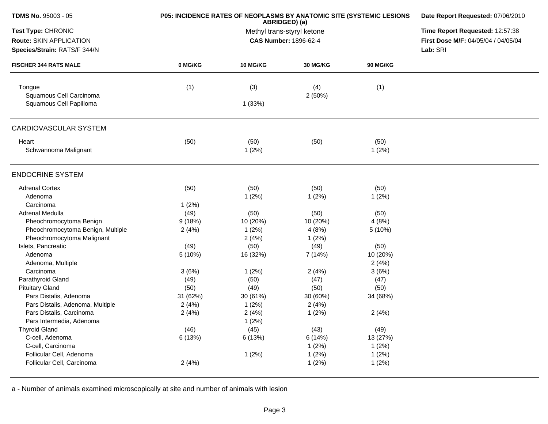| <b>TDMS No. 95003 - 05</b>        | P05: INCIDENCE RATES OF NEOPLASMS BY ANATOMIC SITE (SYSTEMIC LESIONS | Date Report Requested: 07/06/2010<br>Time Report Requested: 12:57:38 |                       |                 |                                     |
|-----------------------------------|----------------------------------------------------------------------|----------------------------------------------------------------------|-----------------------|-----------------|-------------------------------------|
| Test Type: CHRONIC                |                                                                      |                                                                      |                       |                 |                                     |
| Route: SKIN APPLICATION           |                                                                      |                                                                      | CAS Number: 1896-62-4 |                 | First Dose M/F: 04/05/04 / 04/05/04 |
| Species/Strain: RATS/F 344/N      |                                                                      |                                                                      |                       |                 | Lab: SRI                            |
| <b>FISCHER 344 RATS MALE</b>      | 0 MG/KG                                                              | <b>10 MG/KG</b>                                                      | 30 MG/KG              | <b>90 MG/KG</b> |                                     |
| Tongue<br>Squamous Cell Carcinoma | (1)                                                                  | (3)                                                                  | (4)<br>2(50%)         | (1)             |                                     |
| Squamous Cell Papilloma           |                                                                      | 1(33%)                                                               |                       |                 |                                     |
| CARDIOVASCULAR SYSTEM             |                                                                      |                                                                      |                       |                 |                                     |
| Heart                             | (50)                                                                 | (50)                                                                 | (50)                  | (50)            |                                     |
| Schwannoma Malignant              |                                                                      | 1(2%)                                                                |                       | 1(2%)           |                                     |
| <b>ENDOCRINE SYSTEM</b>           |                                                                      |                                                                      |                       |                 |                                     |
| <b>Adrenal Cortex</b>             | (50)                                                                 | (50)                                                                 | (50)                  | (50)            |                                     |
| Adenoma                           |                                                                      | 1(2%)                                                                | 1(2%)                 | 1(2%)           |                                     |
| Carcinoma                         | 1(2%)                                                                |                                                                      |                       |                 |                                     |
| Adrenal Medulla                   | (49)                                                                 | (50)                                                                 | (50)                  | (50)            |                                     |
| Pheochromocytoma Benign           | 9(18%)                                                               | 10 (20%)                                                             | 10 (20%)              | 4(8%)           |                                     |
| Pheochromocytoma Benign, Multiple | 2(4%)                                                                | 1(2%)                                                                | 4(8%)                 | 5 (10%)         |                                     |
| Pheochromocytoma Malignant        |                                                                      | 2(4%)                                                                | 1(2%)                 |                 |                                     |
| Islets, Pancreatic                | (49)                                                                 | (50)                                                                 | (49)                  | (50)            |                                     |
| Adenoma                           | 5(10%)                                                               | 16 (32%)                                                             | 7 (14%)               | 10 (20%)        |                                     |
| Adenoma, Multiple                 |                                                                      |                                                                      |                       | 2(4%)           |                                     |
| Carcinoma                         | 3(6%)                                                                | 1(2%)                                                                | 2(4%)                 | 3(6%)           |                                     |
| Parathyroid Gland                 | (49)                                                                 | (50)                                                                 | (47)                  | (47)            |                                     |
| <b>Pituitary Gland</b>            | (50)                                                                 | (49)                                                                 | (50)                  | (50)            |                                     |
| Pars Distalis, Adenoma            | 31 (62%)                                                             | 30 (61%)                                                             | 30 (60%)              | 34 (68%)        |                                     |
| Pars Distalis, Adenoma, Multiple  | 2(4%)                                                                | 1(2%)                                                                | 2(4%)                 |                 |                                     |
| Pars Distalis, Carcinoma          | 2(4%)                                                                | 2(4%)                                                                | 1(2%)                 | 2(4%)           |                                     |
| Pars Intermedia, Adenoma          |                                                                      | 1(2%)                                                                |                       |                 |                                     |
| <b>Thyroid Gland</b>              | (46)                                                                 | (45)                                                                 | (43)                  | (49)            |                                     |
| C-cell, Adenoma                   | 6 (13%)                                                              | 6 (13%)                                                              | 6(14%)                | 13 (27%)        |                                     |
| C-cell, Carcinoma                 |                                                                      |                                                                      | 1(2%)                 | 1(2%)           |                                     |
| Follicular Cell, Adenoma          |                                                                      | 1(2%)                                                                | 1(2%)                 | 1(2%)           |                                     |
| Follicular Cell, Carcinoma        | 2(4%)                                                                |                                                                      | 1(2%)                 | 1(2%)           |                                     |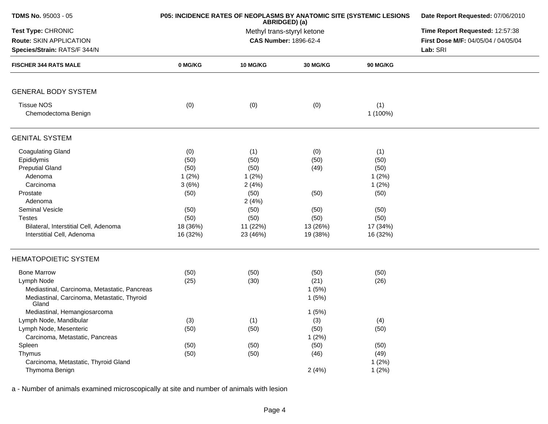| <b>TDMS No. 95003 - 05</b>                           | P05: INCIDENCE RATES OF NEOPLASMS BY ANATOMIC SITE (SYSTEMIC LESIONS | Date Report Requested: 07/06/2010           |                                 |                 |                                     |
|------------------------------------------------------|----------------------------------------------------------------------|---------------------------------------------|---------------------------------|-----------------|-------------------------------------|
| Test Type: CHRONIC                                   |                                                                      | ABRIDGED) (a)<br>Methyl trans-styryl ketone | Time Report Requested: 12:57:38 |                 |                                     |
| Route: SKIN APPLICATION                              |                                                                      |                                             | <b>CAS Number: 1896-62-4</b>    |                 | First Dose M/F: 04/05/04 / 04/05/04 |
| Species/Strain: RATS/F 344/N                         |                                                                      |                                             |                                 |                 | Lab: SRI                            |
| <b>FISCHER 344 RATS MALE</b>                         | 0 MG/KG                                                              | 10 MG/KG                                    | <b>30 MG/KG</b>                 | <b>90 MG/KG</b> |                                     |
| <b>GENERAL BODY SYSTEM</b>                           |                                                                      |                                             |                                 |                 |                                     |
| <b>Tissue NOS</b><br>Chemodectoma Benign             | (0)                                                                  | (0)                                         | (0)                             | (1)<br>1 (100%) |                                     |
| <b>GENITAL SYSTEM</b>                                |                                                                      |                                             |                                 |                 |                                     |
| <b>Coagulating Gland</b>                             | (0)                                                                  | (1)                                         | (0)                             | (1)             |                                     |
| Epididymis                                           | (50)                                                                 | (50)                                        | (50)                            | (50)            |                                     |
| <b>Preputial Gland</b>                               | (50)                                                                 | (50)                                        | (49)                            | (50)            |                                     |
| Adenoma                                              | 1(2%)                                                                | 1(2%)                                       |                                 | 1(2%)           |                                     |
| Carcinoma                                            | 3(6%)                                                                | 2(4%)                                       |                                 | 1(2%)           |                                     |
| Prostate                                             | (50)                                                                 | (50)                                        | (50)                            | (50)            |                                     |
| Adenoma                                              |                                                                      | 2(4%)                                       |                                 |                 |                                     |
| Seminal Vesicle                                      | (50)                                                                 | (50)                                        | (50)                            | (50)            |                                     |
| <b>Testes</b>                                        | (50)                                                                 | (50)                                        | (50)                            | (50)            |                                     |
| Bilateral, Interstitial Cell, Adenoma                | 18 (36%)                                                             | 11 (22%)                                    | 13 (26%)                        | 17 (34%)        |                                     |
| Interstitial Cell, Adenoma                           | 16 (32%)                                                             | 23 (46%)                                    | 19 (38%)                        | 16 (32%)        |                                     |
| <b>HEMATOPOIETIC SYSTEM</b>                          |                                                                      |                                             |                                 |                 |                                     |
| <b>Bone Marrow</b>                                   | (50)                                                                 | (50)                                        | (50)                            | (50)            |                                     |
| Lymph Node                                           | (25)                                                                 | (30)                                        | (21)                            | (26)            |                                     |
| Mediastinal, Carcinoma, Metastatic, Pancreas         |                                                                      |                                             | 1(5%)                           |                 |                                     |
| Mediastinal, Carcinoma, Metastatic, Thyroid<br>Gland |                                                                      |                                             | 1(5%)                           |                 |                                     |
| Mediastinal, Hemangiosarcoma                         |                                                                      |                                             | 1(5%)                           |                 |                                     |
| Lymph Node, Mandibular                               | (3)                                                                  | (1)                                         | (3)                             | (4)             |                                     |
| Lymph Node, Mesenteric                               | (50)                                                                 | (50)                                        | (50)                            | (50)            |                                     |
| Carcinoma, Metastatic, Pancreas                      |                                                                      |                                             | 1(2%)                           |                 |                                     |
| Spleen                                               | (50)                                                                 | (50)                                        | (50)                            | (50)            |                                     |
| Thymus                                               | (50)                                                                 | (50)                                        | (46)                            | (49)            |                                     |
| Carcinoma, Metastatic, Thyroid Gland                 |                                                                      |                                             |                                 | 1(2%)           |                                     |
| Thymoma Benign                                       |                                                                      |                                             | 2(4%)                           | 1(2%)           |                                     |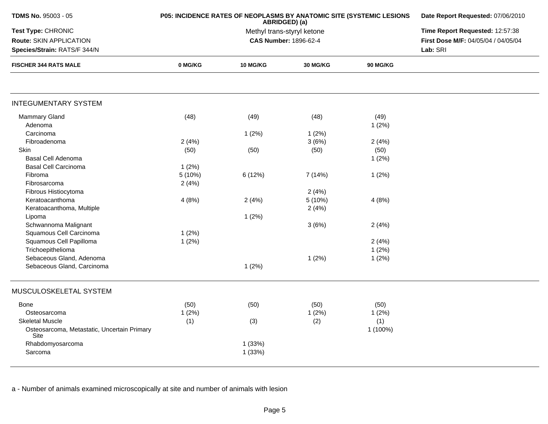| TDMS No. 95003 - 05                                 | P05: INCIDENCE RATES OF NEOPLASMS BY ANATOMIC SITE (SYSTEMIC LESIONS | Date Report Requested: 07/06/2010           |                                 |                 |                                     |
|-----------------------------------------------------|----------------------------------------------------------------------|---------------------------------------------|---------------------------------|-----------------|-------------------------------------|
| Test Type: CHRONIC                                  |                                                                      | ABRIDGED) (a)<br>Methyl trans-styryl ketone | Time Report Requested: 12:57:38 |                 |                                     |
| Route: SKIN APPLICATION                             |                                                                      |                                             | <b>CAS Number: 1896-62-4</b>    |                 | First Dose M/F: 04/05/04 / 04/05/04 |
| Species/Strain: RATS/F 344/N                        |                                                                      |                                             |                                 |                 | Lab: SRI                            |
| <b>FISCHER 344 RATS MALE</b>                        | 0 MG/KG                                                              | <b>10 MG/KG</b>                             | 30 MG/KG                        | <b>90 MG/KG</b> |                                     |
|                                                     |                                                                      |                                             |                                 |                 |                                     |
| <b>INTEGUMENTARY SYSTEM</b>                         |                                                                      |                                             |                                 |                 |                                     |
| <b>Mammary Gland</b>                                | (48)                                                                 | (49)                                        | (48)                            | (49)            |                                     |
| Adenoma                                             |                                                                      |                                             |                                 | 1(2%)           |                                     |
| Carcinoma                                           |                                                                      | 1(2%)                                       | 1(2%)                           |                 |                                     |
| Fibroadenoma                                        | 2(4%)                                                                |                                             | 3(6%)                           | 2(4%)           |                                     |
| Skin                                                | (50)                                                                 | (50)                                        | (50)                            | (50)            |                                     |
| Basal Cell Adenoma                                  |                                                                      |                                             |                                 | 1(2%)           |                                     |
| <b>Basal Cell Carcinoma</b>                         | 1(2%)                                                                |                                             |                                 |                 |                                     |
| Fibroma                                             | 5 (10%)                                                              | 6 (12%)                                     | 7(14%)                          | 1(2%)           |                                     |
| Fibrosarcoma                                        | 2(4%)                                                                |                                             |                                 |                 |                                     |
| Fibrous Histiocytoma                                |                                                                      |                                             | 2(4%)                           |                 |                                     |
| Keratoacanthoma                                     | 4(8%)                                                                | 2(4%)                                       | 5(10%)                          | 4(8%)           |                                     |
| Keratoacanthoma, Multiple                           |                                                                      |                                             | 2(4%)                           |                 |                                     |
| Lipoma                                              |                                                                      | 1(2%)                                       |                                 |                 |                                     |
| Schwannoma Malignant                                |                                                                      |                                             | 3(6%)                           | 2(4%)           |                                     |
| Squamous Cell Carcinoma                             | 1(2%)                                                                |                                             |                                 |                 |                                     |
| Squamous Cell Papilloma                             | 1(2%)                                                                |                                             |                                 | 2(4%)           |                                     |
| Trichoepithelioma                                   |                                                                      |                                             |                                 | 1(2%)           |                                     |
| Sebaceous Gland, Adenoma                            |                                                                      |                                             | 1(2%)                           | 1(2%)           |                                     |
| Sebaceous Gland, Carcinoma                          |                                                                      | 1(2%)                                       |                                 |                 |                                     |
|                                                     |                                                                      |                                             |                                 |                 |                                     |
| MUSCULOSKELETAL SYSTEM                              |                                                                      |                                             |                                 |                 |                                     |
| Bone                                                | (50)                                                                 | (50)                                        | (50)                            | (50)            |                                     |
| Osteosarcoma                                        | 1(2%)                                                                |                                             | 1(2%)                           | 1(2%)           |                                     |
| <b>Skeletal Muscle</b>                              | (1)                                                                  | (3)                                         | (2)                             | (1)             |                                     |
| Osteosarcoma, Metastatic, Uncertain Primary<br>Site |                                                                      |                                             |                                 | 1 (100%)        |                                     |
| Rhabdomyosarcoma                                    |                                                                      | 1(33%)                                      |                                 |                 |                                     |
| Sarcoma                                             |                                                                      | 1(33%)                                      |                                 |                 |                                     |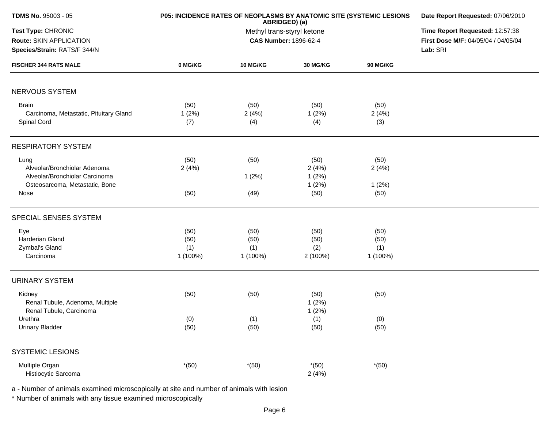| <b>TDMS No. 95003 - 05</b>                                                                               | P05: INCIDENCE RATES OF NEOPLASMS BY ANATOMIC SITE (SYSTEMIC LESIONS | Date Report Requested: 07/06/2010                                                  |                                 |                                 |  |
|----------------------------------------------------------------------------------------------------------|----------------------------------------------------------------------|------------------------------------------------------------------------------------|---------------------------------|---------------------------------|--|
| Test Type: CHRONIC<br>Route: SKIN APPLICATION<br>Species/Strain: RATS/F 344/N                            |                                                                      | Time Report Requested: 12:57:38<br>First Dose M/F: 04/05/04 / 04/05/04<br>Lab: SRI |                                 |                                 |  |
| <b>FISCHER 344 RATS MALE</b>                                                                             | 0 MG/KG                                                              | <b>10 MG/KG</b>                                                                    | <b>30 MG/KG</b>                 | <b>90 MG/KG</b>                 |  |
| NERVOUS SYSTEM                                                                                           |                                                                      |                                                                                    |                                 |                                 |  |
| <b>Brain</b><br>Carcinoma, Metastatic, Pituitary Gland<br>Spinal Cord                                    | (50)<br>1(2%)<br>(7)                                                 | (50)<br>2(4%)<br>(4)                                                               | (50)<br>1(2%)<br>(4)            | (50)<br>2(4%)<br>(3)            |  |
| <b>RESPIRATORY SYSTEM</b>                                                                                |                                                                      |                                                                                    |                                 |                                 |  |
| Lung<br>Alveolar/Bronchiolar Adenoma<br>Alveolar/Bronchiolar Carcinoma<br>Osteosarcoma, Metastatic, Bone | (50)<br>2(4%)                                                        | (50)<br>1(2%)                                                                      | (50)<br>2(4%)<br>1(2%)<br>1(2%) | (50)<br>2(4%)<br>1(2%)          |  |
| Nose                                                                                                     | (50)                                                                 | (49)                                                                               | (50)                            | (50)                            |  |
| SPECIAL SENSES SYSTEM                                                                                    |                                                                      |                                                                                    |                                 |                                 |  |
| Eye<br>Harderian Gland<br>Zymbal's Gland<br>Carcinoma                                                    | (50)<br>(50)<br>(1)<br>1 (100%)                                      | (50)<br>(50)<br>(1)<br>1 (100%)                                                    | (50)<br>(50)<br>(2)<br>2 (100%) | (50)<br>(50)<br>(1)<br>1 (100%) |  |
| <b>URINARY SYSTEM</b>                                                                                    |                                                                      |                                                                                    |                                 |                                 |  |
| Kidney<br>Renal Tubule, Adenoma, Multiple<br>Renal Tubule, Carcinoma                                     | (50)                                                                 | (50)                                                                               | (50)<br>1(2%)<br>1(2%)          | (50)                            |  |
| Urethra<br><b>Urinary Bladder</b>                                                                        | (0)<br>(50)                                                          | (1)<br>(50)                                                                        | (1)<br>(50)                     | (0)<br>(50)                     |  |
| <b>SYSTEMIC LESIONS</b>                                                                                  |                                                                      |                                                                                    |                                 |                                 |  |
| Multiple Organ<br>Histiocytic Sarcoma                                                                    | $*(50)$                                                              | $*(50)$                                                                            | $*(50)$<br>2(4%)                | $*(50)$                         |  |

\* Number of animals with any tissue examined microscopically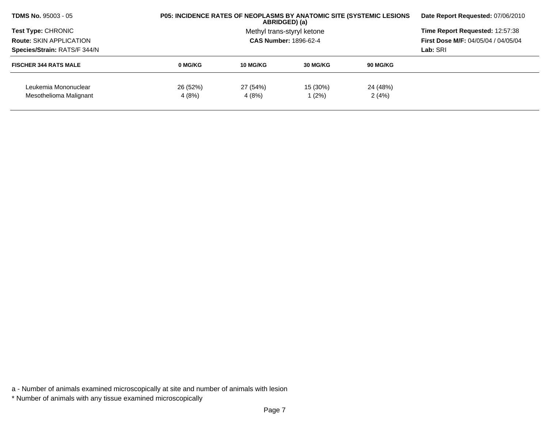| <b>TDMS No. 95003 - 05</b>                                   |          | <b>P05: INCIDENCE RATES OF NEOPLASMS BY ANATOMIC SITE (SYSTEMIC LESIONS)</b><br>ABRIDGED) (a) |                            |          |                                 |  |
|--------------------------------------------------------------|----------|-----------------------------------------------------------------------------------------------|----------------------------|----------|---------------------------------|--|
| <b>Test Type: CHRONIC</b>                                    |          |                                                                                               | Methyl trans-styryl ketone |          | Time Report Requested: 12:57:38 |  |
| <b>Route: SKIN APPLICATION</b>                               |          | <b>CAS Number: 1896-62-4</b>                                                                  |                            |          |                                 |  |
| Species/Strain: RATS/F 344/N<br><b>FISCHER 344 RATS MALE</b> |          |                                                                                               | Lab: SRI                   |          |                                 |  |
|                                                              | 0 MG/KG  | 10 MG/KG                                                                                      | 30 MG/KG                   | 90 MG/KG |                                 |  |
| Leukemia Mononuclear                                         | 26 (52%) | 27 (54%)                                                                                      | 15 (30%)                   | 24 (48%) |                                 |  |
| Mesothelioma Malignant                                       | 4 (8%)   | 4 (8%)                                                                                        | (2%)                       | 2(4%)    |                                 |  |

\* Number of animals with any tissue examined microscopically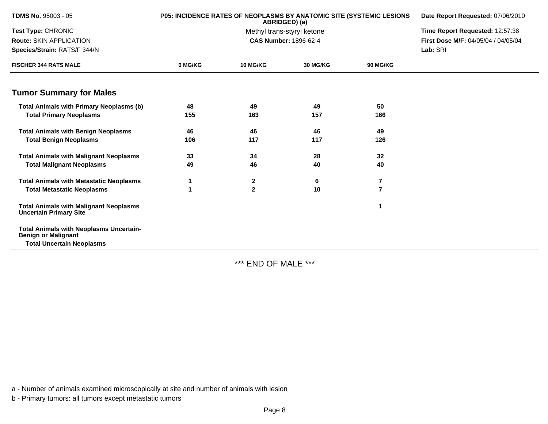| TDMS No. 95003 - 05                                                            |         | <b>P05: INCIDENCE RATES OF NEOPLASMS BY ANATOMIC SITE (SYSTEMIC LESIONS</b><br>ABRIDGED) (a) | Date Report Requested: 07/06/2010 |                |                                     |
|--------------------------------------------------------------------------------|---------|----------------------------------------------------------------------------------------------|-----------------------------------|----------------|-------------------------------------|
| Test Type: CHRONIC                                                             |         |                                                                                              | Methyl trans-styryl ketone        |                | Time Report Requested: 12:57:38     |
| Route: SKIN APPLICATION                                                        |         |                                                                                              | <b>CAS Number: 1896-62-4</b>      |                | First Dose M/F: 04/05/04 / 04/05/04 |
| Species/Strain: RATS/F 344/N                                                   |         |                                                                                              |                                   |                | Lab: SRI                            |
| <b>FISCHER 344 RATS MALE</b>                                                   | 0 MG/KG | <b>10 MG/KG</b>                                                                              | <b>30 MG/KG</b>                   | 90 MG/KG       |                                     |
| <b>Tumor Summary for Males</b>                                                 |         |                                                                                              |                                   |                |                                     |
| <b>Total Animals with Primary Neoplasms (b)</b>                                | 48      | 49                                                                                           | 49                                | 50             |                                     |
| <b>Total Primary Neoplasms</b>                                                 | 155     | 163                                                                                          | 157                               | 166            |                                     |
| <b>Total Animals with Benign Neoplasms</b>                                     | 46      | 46                                                                                           | 46                                | 49             |                                     |
| <b>Total Benign Neoplasms</b>                                                  | 106     | 117                                                                                          | 117                               | 126            |                                     |
| <b>Total Animals with Malignant Neoplasms</b>                                  | 33      | 34                                                                                           | 28                                | 32             |                                     |
| <b>Total Malignant Neoplasms</b>                                               | 49      | 46                                                                                           | 40                                | 40             |                                     |
| <b>Total Animals with Metastatic Neoplasms</b>                                 |         | $\mathbf{2}$                                                                                 | 6                                 | 7              |                                     |
| <b>Total Metastatic Neoplasms</b>                                              | 1       | $\mathbf{2}$                                                                                 | 10                                | $\overline{7}$ |                                     |
| <b>Total Animals with Malignant Neoplasms</b><br><b>Uncertain Primary Site</b> |         |                                                                                              |                                   | 1              |                                     |
| <b>Total Animals with Neoplasms Uncertain-</b><br><b>Benign or Malignant</b>   |         |                                                                                              |                                   |                |                                     |
| <b>Total Uncertain Neoplasms</b>                                               |         |                                                                                              |                                   |                |                                     |

\*\*\* END OF MALE \*\*\*

a - Number of animals examined microscopically at site and number of animals with lesion

b - Primary tumors: all tumors except metastatic tumors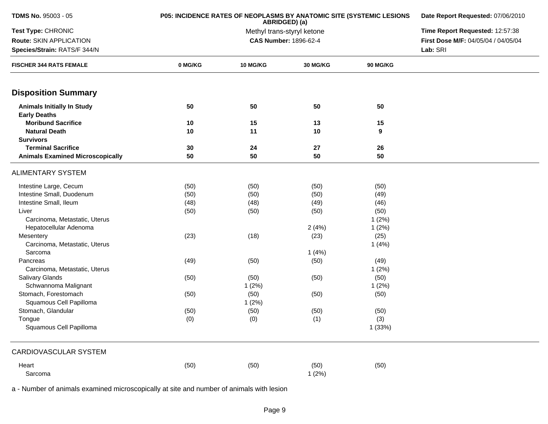| TDMS No. 95003 - 05                                      | P05: INCIDENCE RATES OF NEOPLASMS BY ANATOMIC SITE (SYSTEMIC LESIONS | Date Report Requested: 07/06/2010<br>Time Report Requested: 12:57:38 |                       |                 |                                     |
|----------------------------------------------------------|----------------------------------------------------------------------|----------------------------------------------------------------------|-----------------------|-----------------|-------------------------------------|
| Test Type: CHRONIC                                       |                                                                      |                                                                      |                       |                 |                                     |
| Route: SKIN APPLICATION                                  |                                                                      |                                                                      | CAS Number: 1896-62-4 |                 | First Dose M/F: 04/05/04 / 04/05/04 |
| Species/Strain: RATS/F 344/N                             |                                                                      |                                                                      |                       |                 | Lab: SRI                            |
| <b>FISCHER 344 RATS FEMALE</b>                           | 0 MG/KG                                                              | 10 MG/KG                                                             | 30 MG/KG              | <b>90 MG/KG</b> |                                     |
| <b>Disposition Summary</b>                               |                                                                      |                                                                      |                       |                 |                                     |
| <b>Animals Initially In Study</b><br><b>Early Deaths</b> | 50                                                                   | 50                                                                   | 50                    | 50              |                                     |
| <b>Moribund Sacrifice</b>                                | 10                                                                   | 15                                                                   | 13                    | 15              |                                     |
| <b>Natural Death</b><br><b>Survivors</b>                 | 10                                                                   | 11                                                                   | 10                    | 9               |                                     |
| <b>Terminal Sacrifice</b>                                | 30                                                                   | 24                                                                   | 27                    | 26              |                                     |
| <b>Animals Examined Microscopically</b>                  | 50                                                                   | 50                                                                   | 50                    | 50              |                                     |
| <b>ALIMENTARY SYSTEM</b>                                 |                                                                      |                                                                      |                       |                 |                                     |
| Intestine Large, Cecum                                   | (50)                                                                 | (50)                                                                 | (50)                  | (50)            |                                     |
| Intestine Small, Duodenum                                | (50)                                                                 | (50)                                                                 | (50)                  | (49)            |                                     |
| Intestine Small, Ileum                                   | (48)                                                                 | (48)                                                                 | (49)                  | (46)            |                                     |
| Liver                                                    | (50)                                                                 | (50)                                                                 | (50)                  | (50)            |                                     |
| Carcinoma, Metastatic, Uterus                            |                                                                      |                                                                      |                       | 1(2%)           |                                     |
| Hepatocellular Adenoma                                   |                                                                      |                                                                      | 2(4%)                 | 1(2%)           |                                     |
| Mesentery                                                | (23)                                                                 | (18)                                                                 | (23)                  | (25)            |                                     |
| Carcinoma, Metastatic, Uterus                            |                                                                      |                                                                      |                       | 1(4%)           |                                     |
| Sarcoma                                                  |                                                                      |                                                                      | 1(4%)                 |                 |                                     |
| Pancreas                                                 | (49)                                                                 | (50)                                                                 | (50)                  | (49)            |                                     |
| Carcinoma, Metastatic, Uterus                            |                                                                      |                                                                      |                       | 1(2%)           |                                     |
| <b>Salivary Glands</b>                                   | (50)                                                                 | (50)                                                                 | (50)                  | (50)            |                                     |
| Schwannoma Malignant                                     |                                                                      | 1(2%)                                                                |                       | 1(2%)           |                                     |
| Stomach, Forestomach                                     | (50)                                                                 | (50)                                                                 | (50)                  | (50)            |                                     |
| Squamous Cell Papilloma                                  |                                                                      | 1(2%)                                                                |                       |                 |                                     |
| Stomach, Glandular                                       | (50)                                                                 | (50)                                                                 | (50)                  | (50)            |                                     |
| Tongue                                                   | (0)                                                                  | (0)                                                                  | (1)                   | (3)             |                                     |
| Squamous Cell Papilloma                                  |                                                                      |                                                                      |                       | 1 (33%)         |                                     |
| <b>CARDIOVASCULAR SYSTEM</b>                             |                                                                      |                                                                      |                       |                 |                                     |
| Heart                                                    | (50)                                                                 | (50)                                                                 | (50)                  | (50)            |                                     |
| Sarcoma                                                  |                                                                      |                                                                      | 1(2%)                 |                 |                                     |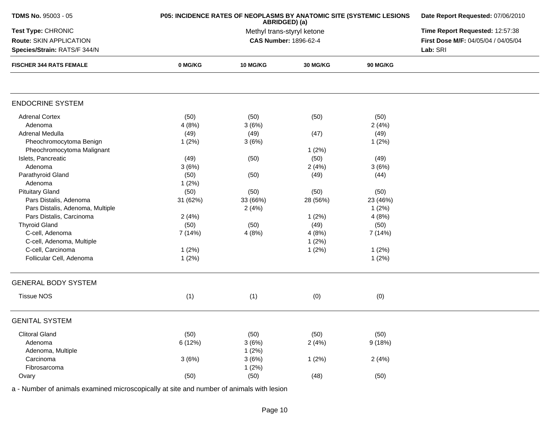| TDMS No. 95003 - 05              | P05: INCIDENCE RATES OF NEOPLASMS BY ANATOMIC SITE (SYSTEMIC LESIONS | Date Report Requested: 07/06/2010<br>Time Report Requested: 12:57:38 |                       |                 |                                     |  |  |
|----------------------------------|----------------------------------------------------------------------|----------------------------------------------------------------------|-----------------------|-----------------|-------------------------------------|--|--|
| Test Type: CHRONIC               |                                                                      |                                                                      |                       |                 |                                     |  |  |
| Route: SKIN APPLICATION          |                                                                      |                                                                      | CAS Number: 1896-62-4 |                 | First Dose M/F: 04/05/04 / 04/05/04 |  |  |
| Species/Strain: RATS/F 344/N     |                                                                      |                                                                      |                       |                 |                                     |  |  |
| <b>FISCHER 344 RATS FEMALE</b>   | 0 MG/KG                                                              | <b>10 MG/KG</b>                                                      | 30 MG/KG              | <b>90 MG/KG</b> |                                     |  |  |
|                                  |                                                                      |                                                                      |                       |                 |                                     |  |  |
| <b>ENDOCRINE SYSTEM</b>          |                                                                      |                                                                      |                       |                 |                                     |  |  |
| <b>Adrenal Cortex</b>            | (50)                                                                 | (50)                                                                 | (50)                  | (50)            |                                     |  |  |
| Adenoma                          | 4(8%)                                                                | 3(6%)                                                                |                       | 2(4%)           |                                     |  |  |
| Adrenal Medulla                  | (49)                                                                 | (49)                                                                 | (47)                  | (49)            |                                     |  |  |
| Pheochromocytoma Benign          | 1(2%)                                                                | 3(6%)                                                                |                       | 1(2%)           |                                     |  |  |
| Pheochromocytoma Malignant       |                                                                      |                                                                      | 1(2%)                 |                 |                                     |  |  |
| Islets, Pancreatic               | (49)                                                                 | (50)                                                                 | (50)                  | (49)            |                                     |  |  |
| Adenoma                          | 3(6%)                                                                |                                                                      | 2(4%)                 | 3(6%)           |                                     |  |  |
| Parathyroid Gland                | (50)                                                                 | (50)                                                                 | (49)                  | (44)            |                                     |  |  |
| Adenoma                          | 1(2%)                                                                |                                                                      |                       |                 |                                     |  |  |
| <b>Pituitary Gland</b>           | (50)                                                                 | (50)                                                                 | (50)                  | (50)            |                                     |  |  |
| Pars Distalis, Adenoma           | 31 (62%)                                                             | 33 (66%)                                                             | 28 (56%)              | 23 (46%)        |                                     |  |  |
| Pars Distalis, Adenoma, Multiple |                                                                      | 2(4%)                                                                |                       | 1(2%)           |                                     |  |  |
| Pars Distalis, Carcinoma         | 2(4%)                                                                |                                                                      | 1(2%)                 | 4(8%)           |                                     |  |  |
| <b>Thyroid Gland</b>             | (50)                                                                 | (50)                                                                 | (49)                  | (50)            |                                     |  |  |
| C-cell, Adenoma                  | 7 (14%)                                                              | 4(8%)                                                                | 4(8%)                 | 7 (14%)         |                                     |  |  |
| C-cell, Adenoma, Multiple        |                                                                      |                                                                      | 1(2%)                 |                 |                                     |  |  |
| C-cell, Carcinoma                | 1(2%)                                                                |                                                                      | 1(2%)                 | 1(2%)           |                                     |  |  |
| Follicular Cell, Adenoma         | 1(2%)                                                                |                                                                      |                       | 1(2%)           |                                     |  |  |
|                                  |                                                                      |                                                                      |                       |                 |                                     |  |  |
| <b>GENERAL BODY SYSTEM</b>       |                                                                      |                                                                      |                       |                 |                                     |  |  |
| <b>Tissue NOS</b>                | (1)                                                                  | (1)                                                                  | (0)                   | (0)             |                                     |  |  |
| <b>GENITAL SYSTEM</b>            |                                                                      |                                                                      |                       |                 |                                     |  |  |
| <b>Clitoral Gland</b>            | (50)                                                                 | (50)                                                                 | (50)                  | (50)            |                                     |  |  |
| Adenoma                          | 6 (12%)                                                              | 3(6%)                                                                | 2(4%)                 | 9(18%)          |                                     |  |  |
| Adenoma, Multiple                |                                                                      | 1(2%)                                                                |                       |                 |                                     |  |  |
| Carcinoma                        | 3(6%)                                                                | 3(6%)                                                                | 1(2%)                 | 2(4%)           |                                     |  |  |
| Fibrosarcoma                     |                                                                      | 1(2%)                                                                |                       |                 |                                     |  |  |
| Ovary                            | (50)                                                                 | (50)                                                                 | (48)                  | (50)            |                                     |  |  |
|                                  |                                                                      |                                                                      |                       |                 |                                     |  |  |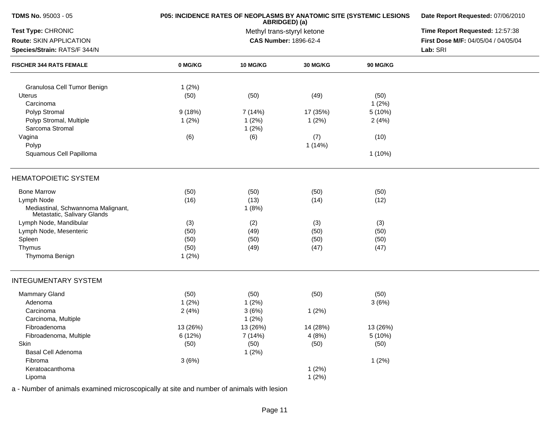| <b>TDMS No. 95003 - 05</b>                                                      | P05: INCIDENCE RATES OF NEOPLASMS BY ANATOMIC SITE (SYSTEMIC LESIONS | Date Report Requested: 07/06/2010                                      |                 |               |  |  |
|---------------------------------------------------------------------------------|----------------------------------------------------------------------|------------------------------------------------------------------------|-----------------|---------------|--|--|
| Test Type: CHRONIC                                                              |                                                                      | Time Report Requested: 12:57:38<br>First Dose M/F: 04/05/04 / 04/05/04 |                 |               |  |  |
| Route: SKIN APPLICATION<br>Species/Strain: RATS/F 344/N                         |                                                                      | <b>CAS Number: 1896-62-4</b>                                           |                 |               |  |  |
| <b>FISCHER 344 RATS FEMALE</b>                                                  | 0 MG/KG                                                              | 10 MG/KG                                                               | <b>30 MG/KG</b> | 90 MG/KG      |  |  |
| Granulosa Cell Tumor Benign                                                     | 1(2%)                                                                |                                                                        |                 |               |  |  |
| <b>Uterus</b><br>Carcinoma                                                      | (50)                                                                 | (50)                                                                   | (49)            | (50)<br>1(2%) |  |  |
| Polyp Stromal                                                                   | 9(18%)                                                               | 7(14%)                                                                 | 17 (35%)        | 5 (10%)       |  |  |
| Polyp Stromal, Multiple<br>Sarcoma Stromal                                      | 1(2%)                                                                | 1(2%)<br>1(2%)                                                         | 1(2%)           | 2(4%)         |  |  |
| Vagina<br>Polyp                                                                 | (6)                                                                  | (6)                                                                    | (7)<br>1(14%)   | (10)          |  |  |
| Squamous Cell Papilloma                                                         |                                                                      |                                                                        |                 | $1(10\%)$     |  |  |
| <b>HEMATOPOIETIC SYSTEM</b>                                                     |                                                                      |                                                                        |                 |               |  |  |
| <b>Bone Marrow</b>                                                              | (50)                                                                 | (50)                                                                   | (50)            | (50)          |  |  |
| Lymph Node<br>Mediastinal, Schwannoma Malignant,<br>Metastatic, Salivary Glands | (16)                                                                 | (13)<br>1(8%)                                                          | (14)            | (12)          |  |  |
| Lymph Node, Mandibular                                                          | (3)                                                                  | (2)                                                                    | (3)             | (3)           |  |  |
| Lymph Node, Mesenteric                                                          | (50)                                                                 | (49)                                                                   | (50)            | (50)          |  |  |
| Spleen                                                                          | (50)                                                                 | (50)                                                                   | (50)            | (50)          |  |  |
| Thymus                                                                          | (50)                                                                 | (49)                                                                   | (47)            | (47)          |  |  |
| Thymoma Benign                                                                  | 1(2%)                                                                |                                                                        |                 |               |  |  |
| <b>INTEGUMENTARY SYSTEM</b>                                                     |                                                                      |                                                                        |                 |               |  |  |
| <b>Mammary Gland</b>                                                            | (50)                                                                 | (50)                                                                   | (50)            | (50)          |  |  |
| Adenoma                                                                         | 1(2%)                                                                | 1(2%)                                                                  |                 | 3(6%)         |  |  |
| Carcinoma                                                                       | 2(4%)                                                                | 3(6%)                                                                  | 1(2%)           |               |  |  |
| Carcinoma, Multiple                                                             |                                                                      | 1(2%)                                                                  |                 |               |  |  |
| Fibroadenoma                                                                    | 13 (26%)                                                             | 13 (26%)                                                               | 14 (28%)        | 13 (26%)      |  |  |
| Fibroadenoma, Multiple                                                          | 6 (12%)                                                              | 7 (14%)                                                                | 4(8%)           | 5 (10%)       |  |  |
| Skin                                                                            | (50)                                                                 | (50)                                                                   | (50)            | (50)          |  |  |
| Basal Cell Adenoma                                                              |                                                                      | 1(2%)                                                                  |                 |               |  |  |
| Fibroma                                                                         | 3(6%)                                                                |                                                                        |                 | 1(2%)         |  |  |
| Keratoacanthoma                                                                 |                                                                      |                                                                        | 1(2%)           |               |  |  |
| Lipoma                                                                          |                                                                      |                                                                        | 1(2%)           |               |  |  |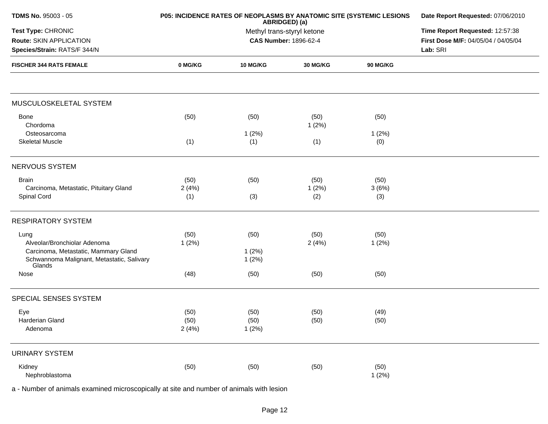| <b>TDMS No. 95003 - 05</b>                                                    | P05: INCIDENCE RATES OF NEOPLASMS BY ANATOMIC SITE (SYSTEMIC LESIONS | Date Report Requested: 07/06/2010<br>Time Report Requested: 12:57:38<br>First Dose M/F: 04/05/04 / 04/05/04<br>Lab: SRI |               |                 |  |
|-------------------------------------------------------------------------------|----------------------------------------------------------------------|-------------------------------------------------------------------------------------------------------------------------|---------------|-----------------|--|
| Test Type: CHRONIC<br>Route: SKIN APPLICATION<br>Species/Strain: RATS/F 344/N |                                                                      |                                                                                                                         |               |                 |  |
| <b>FISCHER 344 RATS FEMALE</b>                                                | 0 MG/KG                                                              | <b>10 MG/KG</b>                                                                                                         | 30 MG/KG      | <b>90 MG/KG</b> |  |
|                                                                               |                                                                      |                                                                                                                         |               |                 |  |
| MUSCULOSKELETAL SYSTEM                                                        |                                                                      |                                                                                                                         |               |                 |  |
| Bone<br>Chordoma                                                              | (50)                                                                 | (50)                                                                                                                    | (50)<br>1(2%) | (50)            |  |
| Osteosarcoma                                                                  |                                                                      | 1(2%)                                                                                                                   |               | 1(2%)           |  |
| <b>Skeletal Muscle</b>                                                        | (1)                                                                  | (1)                                                                                                                     | (1)           | (0)             |  |
| <b>NERVOUS SYSTEM</b>                                                         |                                                                      |                                                                                                                         |               |                 |  |
| <b>Brain</b>                                                                  | (50)                                                                 | (50)                                                                                                                    | (50)          | (50)            |  |
| Carcinoma, Metastatic, Pituitary Gland                                        | 2(4%)                                                                |                                                                                                                         | 1(2%)         | 3(6%)           |  |
| Spinal Cord                                                                   | (1)                                                                  | (3)                                                                                                                     | (2)           | (3)             |  |
| <b>RESPIRATORY SYSTEM</b>                                                     |                                                                      |                                                                                                                         |               |                 |  |
| Lung                                                                          | (50)                                                                 | (50)                                                                                                                    | (50)          | (50)            |  |
| Alveolar/Bronchiolar Adenoma                                                  | 1(2%)                                                                |                                                                                                                         | 2(4%)         | 1(2%)           |  |
| Carcinoma, Metastatic, Mammary Gland                                          |                                                                      | 1(2%)                                                                                                                   |               |                 |  |
| Schwannoma Malignant, Metastatic, Salivary<br>Glands                          |                                                                      | 1(2%)                                                                                                                   |               |                 |  |
| Nose                                                                          | (48)                                                                 | (50)                                                                                                                    | (50)          | (50)            |  |
| SPECIAL SENSES SYSTEM                                                         |                                                                      |                                                                                                                         |               |                 |  |
| Eye                                                                           | (50)                                                                 | (50)                                                                                                                    | (50)          | (49)            |  |
| Harderian Gland                                                               | (50)                                                                 | (50)                                                                                                                    | (50)          | (50)            |  |
| Adenoma                                                                       | 2(4%)                                                                | 1(2%)                                                                                                                   |               |                 |  |
| <b>URINARY SYSTEM</b>                                                         |                                                                      |                                                                                                                         |               |                 |  |
| Kidney                                                                        | (50)                                                                 | (50)                                                                                                                    | (50)          | (50)            |  |
| Nephroblastoma                                                                |                                                                      |                                                                                                                         |               | 1(2%)           |  |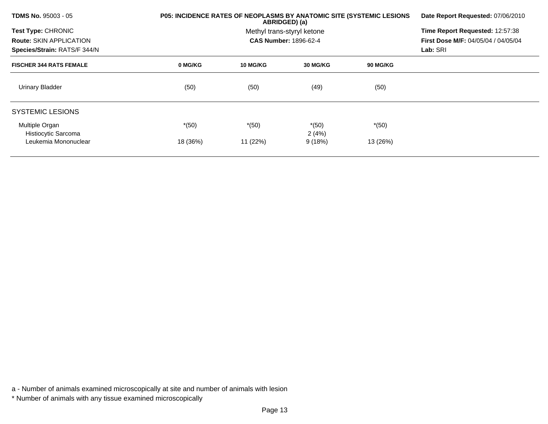| <b>TDMS No. 95003 - 05</b>                                     | P05: INCIDENCE RATES OF NEOPLASMS BY ANATOMIC SITE (SYSTEMIC LESIONS | Date Report Requested: 07/06/2010<br>Time Report Requested: 12:57:38<br>First Dose M/F: 04/05/04 / 04/05/04<br>Lab: SRI |                  |                 |  |
|----------------------------------------------------------------|----------------------------------------------------------------------|-------------------------------------------------------------------------------------------------------------------------|------------------|-----------------|--|
| <b>Test Type: CHRONIC</b>                                      |                                                                      |                                                                                                                         |                  |                 |  |
| <b>Route: SKIN APPLICATION</b><br>Species/Strain: RATS/F 344/N |                                                                      |                                                                                                                         |                  |                 |  |
| <b>FISCHER 344 RATS FEMALE</b>                                 | 0 MG/KG                                                              | <b>10 MG/KG</b>                                                                                                         | 30 MG/KG         | <b>90 MG/KG</b> |  |
| <b>Urinary Bladder</b>                                         | (50)                                                                 | (50)                                                                                                                    | (49)             | (50)            |  |
| <b>SYSTEMIC LESIONS</b>                                        |                                                                      |                                                                                                                         |                  |                 |  |
| Multiple Organ<br>Histiocytic Sarcoma                          | $*(50)$                                                              | $*(50)$                                                                                                                 | $*(50)$<br>2(4%) | $*(50)$         |  |
| Leukemia Mononuclear                                           | 18 (36%)                                                             | 11 (22%)                                                                                                                | 9(18%)           | 13 (26%)        |  |

a - Number of animals examined microscopically at site and number of animals with lesion

<sup>\*</sup> Number of animals with any tissue examined microscopically